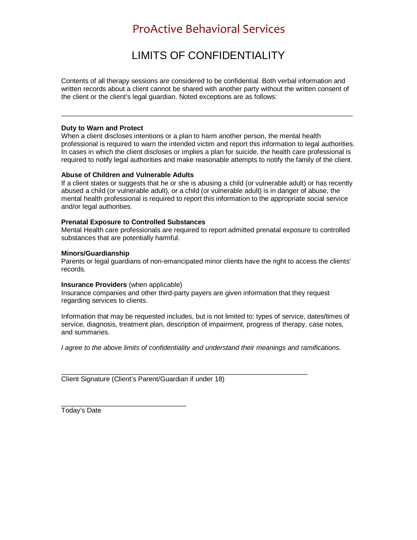## ProActive Behavioral Services

# LIMITS OF CONFIDENTIALITY

Contents of all therapy sessions are considered to be confidential. Both verbal information and written records about a client cannot be shared with another party without the written consent of the client or the client's legal guardian. Noted exceptions are as follows:

\_\_\_\_\_\_\_\_\_\_\_\_\_\_\_\_\_\_\_\_\_\_\_\_\_\_\_\_\_\_\_\_\_\_\_\_\_\_\_\_\_\_\_\_\_\_\_\_\_\_\_\_\_\_\_\_\_\_\_\_\_\_\_\_\_\_\_\_\_\_\_\_\_\_\_\_\_

#### **Duty to Warn and Protect**

When a client discloses intentions or a plan to harm another person, the mental health professional is required to warn the intended victim and report this information to legal authorities. In cases in which the client discloses or implies a plan for suicide, the health care professional is required to notify legal authorities and make reasonable attempts to notify the family of the client.

### **Abuse of Children and Vulnerable Adults**

If a client states or suggests that he or she is abusing a child (or vulnerable adult) or has recently abused a child (or vulnerable adult), or a child (or vulnerable adult) is in danger of abuse, the mental health professional is required to report this information to the appropriate social service and/or legal authorities.

### **Prenatal Exposure to Controlled Substances**

Mental Health care professionals are required to report admitted prenatal exposure to controlled substances that are potentially harmful.

### **Minors/Guardianship**

Parents or legal guardians of non-emancipated minor clients have the right to access the clients' records.

#### **Insurance Providers** (when applicable)

Insurance companies and other third-party payers are given information that they request regarding services to clients.

Information that may be requested includes, but is not limited to: types of service, dates/times of service, diagnosis, treatment plan, description of impairment, progress of therapy, case notes, and summaries.

*I agree to the above limits of confidentiality and understand their meanings and ramifications.*

\_\_\_\_\_\_\_\_\_\_\_\_\_\_\_\_\_\_\_\_\_\_\_\_\_\_\_\_\_\_\_\_\_\_\_\_\_\_\_\_\_\_\_\_\_\_\_\_\_\_\_\_\_\_\_\_\_\_\_\_\_\_\_\_\_ Client Signature (Client's Parent/Guardian if under 18)

\_\_\_\_\_\_\_\_\_\_\_\_\_\_\_\_\_\_\_\_\_\_\_\_\_\_\_\_\_\_\_\_\_ Today's Date